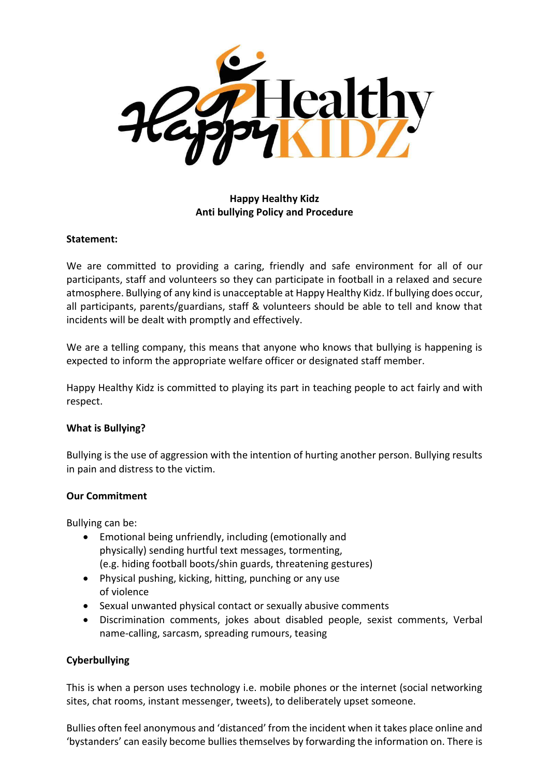

# **Happy Healthy Kidz Anti bullying Policy and Procedure**

#### **Statement:**

We are committed to providing a caring, friendly and safe environment for all of our participants, staff and volunteers so they can participate in football in a relaxed and secure atmosphere. Bullying of any kind is unacceptable at Happy Healthy Kidz. If bullying does occur, all participants, parents/guardians, staff & volunteers should be able to tell and know that incidents will be dealt with promptly and effectively.

We are a telling company, this means that anyone who knows that bullying is happening is expected to inform the appropriate welfare officer or designated staff member.

Happy Healthy Kidz is committed to playing its part in teaching people to act fairly and with respect.

## **What is Bullying?**

Bullying is the use of aggression with the intention of hurting another person. Bullying results in pain and distress to the victim.

#### **Our Commitment**

Bullying can be:

- Emotional being unfriendly, including (emotionally and physically) sending hurtful text messages, tormenting, (e.g. hiding football boots/shin guards, threatening gestures)
- Physical pushing, kicking, hitting, punching or any use of violence
- Sexual unwanted physical contact or sexually abusive comments
- Discrimination comments, jokes about disabled people, sexist comments, Verbal name-calling, sarcasm, spreading rumours, teasing

## **Cyberbullying**

This is when a person uses technology i.e. mobile phones or the internet (social networking sites, chat rooms, instant messenger, tweets), to deliberately upset someone.

Bullies often feel anonymous and 'distanced' from the incident when it takes place online and 'bystanders' can easily become bullies themselves by forwarding the information on. There is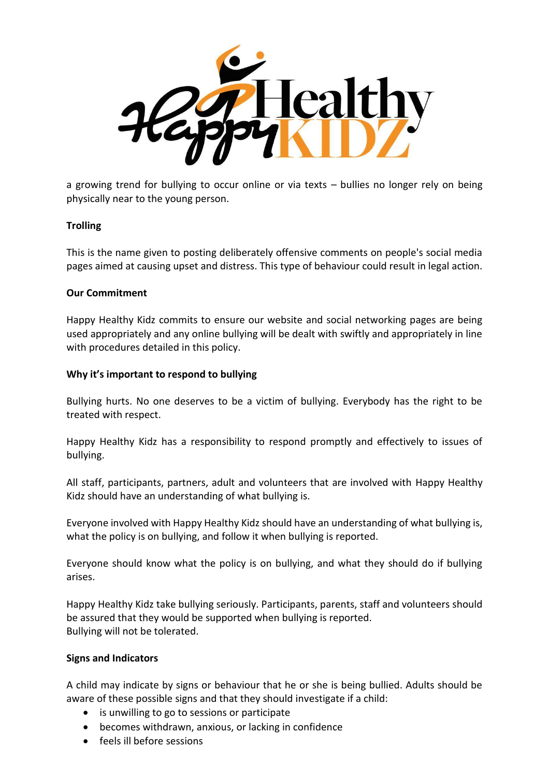

a growing trend for bullying to occur online or via texts – bullies no longer rely on being physically near to the young person.

## **Trolling**

This is the name given to posting deliberately offensive comments on people's social media pages aimed at causing upset and distress. This type of behaviour could result in legal action.

#### **Our Commitment**

Happy Healthy Kidz commits to ensure our website and social networking pages are being used appropriately and any online bullying will be dealt with swiftly and appropriately in line with procedures detailed in this policy.

#### **Why it's important to respond to bullying**

Bullying hurts. No one deserves to be a victim of bullying. Everybody has the right to be treated with respect.

Happy Healthy Kidz has a responsibility to respond promptly and effectively to issues of bullying.

All staff, participants, partners, adult and volunteers that are involved with Happy Healthy Kidz should have an understanding of what bullying is.

Everyone involved with Happy Healthy Kidz should have an understanding of what bullying is, what the policy is on bullying, and follow it when bullying is reported.

Everyone should know what the policy is on bullying, and what they should do if bullying arises.

Happy Healthy Kidz take bullying seriously. Participants, parents, staff and volunteers should be assured that they would be supported when bullying is reported. Bullying will not be tolerated.

## **Signs and Indicators**

A child may indicate by signs or behaviour that he or she is being bullied. Adults should be aware of these possible signs and that they should investigate if a child:

- is unwilling to go to sessions or participate
- becomes withdrawn, anxious, or lacking in confidence
- feels ill before sessions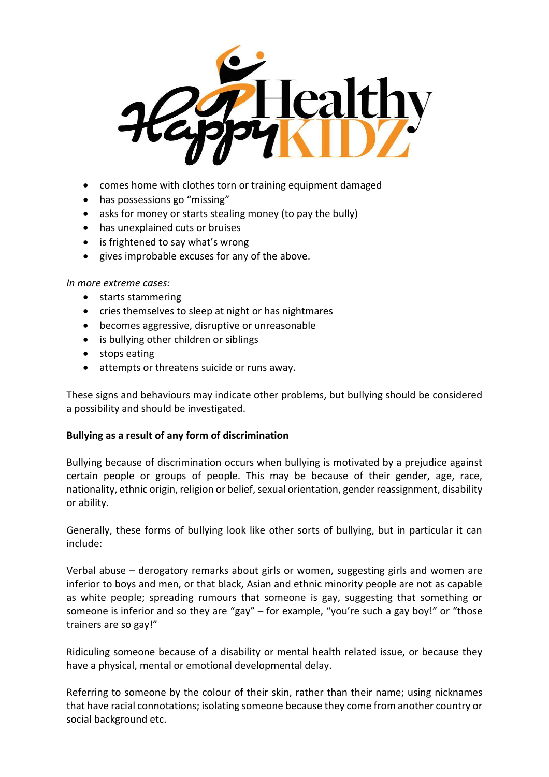

- comes home with clothes torn or training equipment damaged
- has possessions go "missing"
- asks for money or starts stealing money (to pay the bully)
- has unexplained cuts or bruises
- is frightened to say what's wrong
- gives improbable excuses for any of the above.

#### *In more extreme cases:*

- starts stammering
- cries themselves to sleep at night or has nightmares
- becomes aggressive, disruptive or unreasonable
- is bullying other children or siblings
- stops eating
- attempts or threatens suicide or runs away.

These signs and behaviours may indicate other problems, but bullying should be considered a possibility and should be investigated.

#### **Bullying as a result of any form of discrimination**

Bullying because of discrimination occurs when bullying is motivated by a prejudice against certain people or groups of people. This may be because of their gender, age, race, nationality, ethnic origin, religion or belief, sexual orientation, gender reassignment, disability or ability.

Generally, these forms of bullying look like other sorts of bullying, but in particular it can include:

Verbal abuse – derogatory remarks about girls or women, suggesting girls and women are inferior to boys and men, or that black, Asian and ethnic minority people are not as capable as white people; spreading rumours that someone is gay, suggesting that something or someone is inferior and so they are "gay" – for example, "you're such a gay boy!" or "those trainers are so gay!"

Ridiculing someone because of a disability or mental health related issue, or because they have a physical, mental or emotional developmental delay.

Referring to someone by the colour of their skin, rather than their name; using nicknames that have racial connotations; isolating someone because they come from another country or social background etc.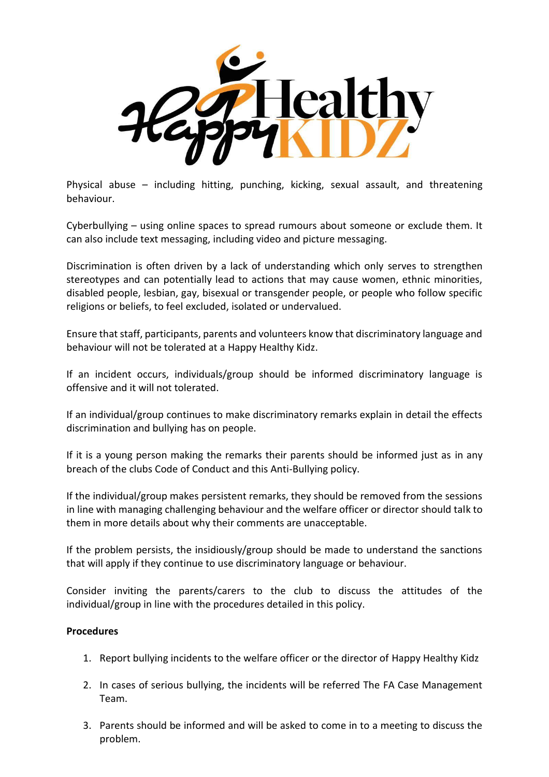

Physical abuse – including hitting, punching, kicking, sexual assault, and threatening behaviour.

Cyberbullying – using online spaces to spread rumours about someone or exclude them. It can also include text messaging, including video and picture messaging.

Discrimination is often driven by a lack of understanding which only serves to strengthen stereotypes and can potentially lead to actions that may cause women, ethnic minorities, disabled people, lesbian, gay, bisexual or transgender people, or people who follow specific religions or beliefs, to feel excluded, isolated or undervalued.

Ensure that staff, participants, parents and volunteers know that discriminatory language and behaviour will not be tolerated at a Happy Healthy Kidz.

If an incident occurs, individuals/group should be informed discriminatory language is offensive and it will not tolerated.

If an individual/group continues to make discriminatory remarks explain in detail the effects discrimination and bullying has on people.

If it is a young person making the remarks their parents should be informed just as in any breach of the clubs Code of Conduct and this Anti-Bullying policy.

If the individual/group makes persistent remarks, they should be removed from the sessions in line with managing challenging behaviour and the welfare officer or director should talk to them in more details about why their comments are unacceptable.

If the problem persists, the insidiously/group should be made to understand the sanctions that will apply if they continue to use discriminatory language or behaviour.

Consider inviting the parents/carers to the club to discuss the attitudes of the individual/group in line with the procedures detailed in this policy.

## **Procedures**

- 1. Report bullying incidents to the welfare officer or the director of Happy Healthy Kidz
- 2. In cases of serious bullying, the incidents will be referred The FA Case Management Team.
- 3. Parents should be informed and will be asked to come in to a meeting to discuss the problem.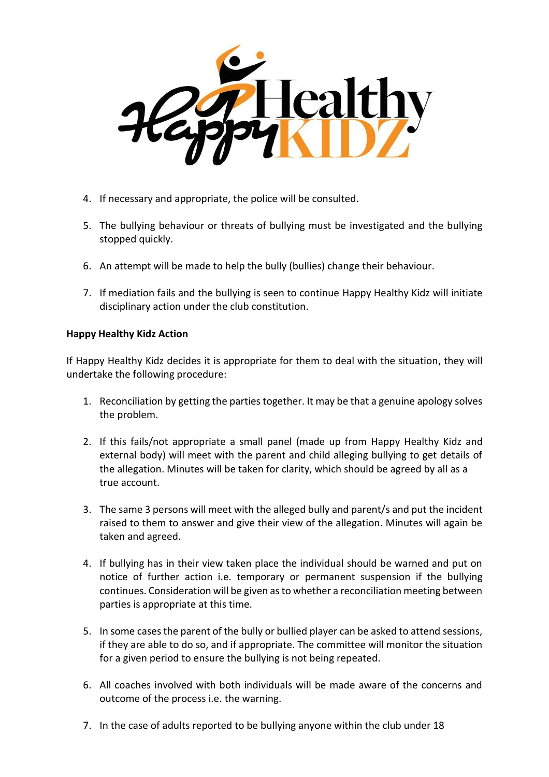

- 4. If necessary and appropriate, the police will be consulted.
- 5. The bullying behaviour or threats of bullying must be investigated and the bullying stopped quickly.
- 6. An attempt will be made to help the bully (bullies) change their behaviour.
- 7. If mediation fails and the bullying is seen to continue Happy Healthy Kidz will initiate disciplinary action under the club constitution.

## **Happy Healthy Kidz Action**

If Happy Healthy Kidz decides it is appropriate for them to deal with the situation, they will undertake the following procedure:

- 1. Reconciliation by getting the parties together. It may be that a genuine apology solves the problem.
- 2. If this fails/not appropriate a small panel (made up from Happy Healthy Kidz and external body) will meet with the parent and child alleging bullying to get details of the allegation. Minutes will be taken for clarity, which should be agreed by all as a true account.
- 3. The same 3 persons will meet with the alleged bully and parent/s and put the incident raised to them to answer and give their view of the allegation. Minutes will again be taken and agreed.
- 4. If bullying has in their view taken place the individual should be warned and put on notice of further action i.e. temporary or permanent suspension if the bullying continues. Consideration will be given as to whether a reconciliation meeting between parties is appropriate at this time.
- 5. In some cases the parent of the bully or bullied player can be asked to attend sessions, if they are able to do so, and if appropriate. The committee will monitor the situation for a given period to ensure the bullying is not being repeated.
- 6. All coaches involved with both individuals will be made aware of the concerns and outcome of the process i.e. the warning.
- 7. In the case of adults reported to be bullying anyone within the club under 18